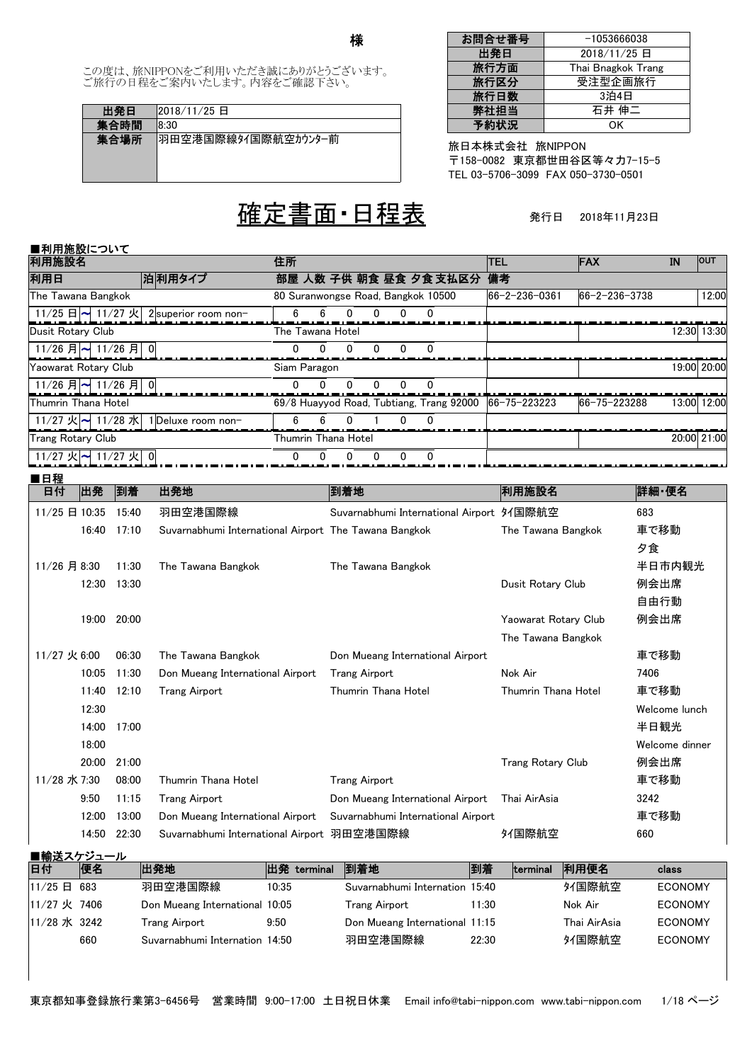様

この度は、旅NIPPONをご利用いただき誠にありがとうございます。 ご旅行の日程をご案内いたします。内容をご確認下さい。

| 出発日  | 2018/11/25 日        |
|------|---------------------|
| 集合時間 | 18.30               |
| 集合場所 | 羽田空港国際線タイ国際航空カウンター前 |

# 定書面 日程表

| お問合せ番号 | $-1053666038$      |
|--------|--------------------|
| 出発日    | 2018/11/25 日       |
| 旅行方面   | Thai Bnagkok Trang |
| 旅行区分   | 受注型企画旅行            |
| 旅行日数   | 3泊4日               |
| 弊社担当   | 石井 伸二              |
| 予約状況   | ΩK                 |

旅日本株式会社 旅NIPPON TEL 03-5706-3099 FAX 050-3730-0501 〒158-0082 東京都世田谷区等々力7-15-5

発行日 2018年11月23日

#### ■利用施設について 利用施設名 利用日 しゅう しゃくん ついの 部屋 人数 子供 朝食 昼食 夕食 支払区分 備考 じょうせい こうしょう こうしょう こうしょう 住所 TEL FAX IN OUT  $2$ superior room non- $\begin{array}{|c|c|c|c|c|c|} \hline 6 & 6 & 0 & 0 & 0 & 0 \ \hline \end{array}$ 66-2-236-0361 66-2-236-3738 12:00 11/25 日 <mark>~</mark> 11/27 火 The Tawana Bangkok 80 Suranwongse Road, Bangkok 10500 0 0 0 0 0 0 0 12:30 13:30 11/26 月 $\sim$  11/26 月 Dusit Rotary Club The Tawana Hotel 0 0 0 0 0 0 0 19:00 20:00 11/26 月<sup>~</sup> 11/26 月 Yaowarat Rotary Club Siam Paragon 0 1 Deluxe room non- 6 6 0 1 0 0 Thumrin Thana Hotel 69/8 Huayyod Road, Tubtiang, Trang 92000 |66-75-223223 |66-75-223288 13:00|12:00 11/27 火 11/28 水 0 0 0 0 0 0 0 20:00 21:00  $11/27$  火 11/27 火 Trang Rotary Club Trang Rotary Club 0

### ■日程

| 出発<br>日付       | 到着    | 出発地                                                   | 到着地                                       | 利用施設名                    | 詳細・便名          |
|----------------|-------|-------------------------------------------------------|-------------------------------------------|--------------------------|----------------|
| 11/25 日 10:35  | 15:40 | 羽田空港国際線                                               | Suvarnabhumi International Airport 91国際航空 |                          | 683            |
| 16:40          | 17:10 | Suvarnabhumi International Airport The Tawana Bangkok |                                           | The Tawana Bangkok       | 車で移動           |
|                |       |                                                       |                                           |                          | 夕食             |
| 11/26 月 8:30   | 11:30 | The Tawana Bangkok                                    | The Tawana Bangkok                        |                          | 半日市内観光         |
| 12:30          | 13:30 |                                                       |                                           | Dusit Rotary Club        | 例会出席           |
|                |       |                                                       |                                           |                          | 自由行動           |
| 19:00          | 20:00 |                                                       |                                           | Yaowarat Rotary Club     | 例会出席           |
|                |       |                                                       |                                           | The Tawana Bangkok       |                |
| $11/27$ 火 6:00 | 06:30 | The Tawana Bangkok                                    | Don Mueang International Airport          |                          | 車で移動           |
| 10:05          | 11:30 | Don Mueang International Airport                      | <b>Trang Airport</b>                      | Nok Air                  | 7406           |
| 11:40          | 12:10 | Trang Airport                                         | Thumrin Thana Hotel                       | Thumrin Thana Hotel      | 車で移動           |
| 12:30          |       |                                                       |                                           |                          | Welcome lunch  |
| 14:00          | 17:00 |                                                       |                                           |                          | 半日観光           |
| 18:00          |       |                                                       |                                           |                          | Welcome dinner |
| 20:00          | 21:00 |                                                       |                                           | <b>Trang Rotary Club</b> | 例会出席           |
| 11/28 水 7:30   | 08:00 | Thumrin Thana Hotel                                   | <b>Trang Airport</b>                      |                          | 車で移動           |
| 9:50           | 11:15 | Trang Airport                                         | Don Mueang International Airport          | Thai AirAsia             | 3242           |
| 12:00          | 13:00 | Don Mueang International Airport                      | Suvarnabhumi International Airport        |                          | 車で移動           |
| 14:50          | 22:30 | Suvarnabhumi International Airport 羽田空港国際線            |                                           | タイ国際航空                   | 660            |

| ■輸送スケジュール    |     |                                |             |                                |       |          |              |                |
|--------------|-----|--------------------------------|-------------|--------------------------------|-------|----------|--------------|----------------|
| 日付           | 便名  | 出発地                            | 出発 terminal | 到着地                            | 到着    | terminal | 利用便名         | class          |
| 11/25 日      | 683 | 羽田空港国際線                        | 10:35       | Suvarnabhumi Internation 15:40 |       |          | タイ国際航空       | <b>ECONOMY</b> |
| 11/27 火 7406 |     | Don Mueang International 10:05 |             | Trang Airport                  | 11:30 |          | Nok Air      | <b>ECONOMY</b> |
| 11/28 水 3242 |     | Trang Airport                  | 9:50        | Don Mueang International 11:15 |       |          | Thai AirAsia | <b>ECONOMY</b> |
|              | 660 | Suvarnabhumi Internation 14:50 |             | 羽田空港国際線                        | 22:30 |          | タイ国際航空       | <b>ECONOMY</b> |